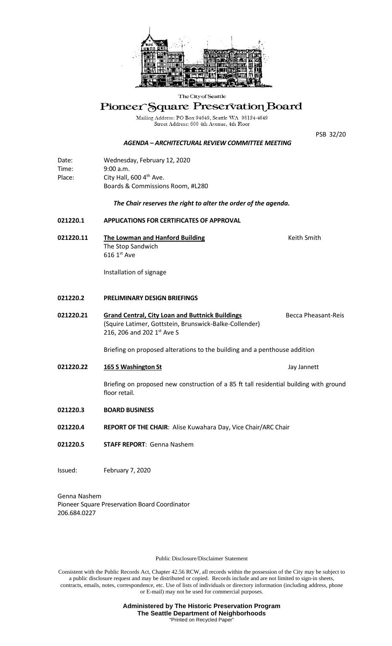

#### The City of Seattle

# Pioneer Square Preservation Board

Mailing Address: PO Box 94649, Seattle WA 98124-4649<br>Street Address: 600 4th Avenue, 4th Floor

PSB 32/20

# *AGENDA – ARCHITECTURAL REVIEW COMMITTEE MEETING*

| Date:  | Wednesday, February 12, 2020        |
|--------|-------------------------------------|
| Time:  | 9:00 a.m.                           |
| Place: | City Hall, 600 4 <sup>th</sup> Ave. |
|        | Boards & Commissions Room, #L280    |

### *The Chair reserves the right to alter the order of the agenda.*

# **021220.1 APPLICATIONS FOR CERTIFICATES OF APPROVAL**

**021220.11** The Lowman and Hanford Building The Smith Smith The Stop Sandwich  $616 1<sup>st</sup>$  Ave

Installation of signage

#### **021220.2 PRELIMINARY DESIGN BRIEFINGS**

021220.21 **Grand Central, City Loan and Buttnick Buildings** Becca Pheasant-Reis (Squire Latimer, Gottstein, Brunswick-Balke-Collender) 216, 206 and 202 1st Ave S

Briefing on proposed alterations to the building and a penthouse addition

**021220.22 165 S Washington St** Jay Jannett

Briefing on proposed new construction of a 85 ft tall residential building with ground floor retail.

- **021220.3 BOARD BUSINESS**
- **021220.4 REPORT OF THE CHAIR**: Alise Kuwahara Day, Vice Chair/ARC Chair
- **021220.5 STAFF REPORT**: Genna Nashem
- Issued: February 7, 2020

Genna Nashem Pioneer Square Preservation Board Coordinator 206.684.0227

Public Disclosure/Disclaimer Statement

Consistent with the Public Records Act, Chapter 42.56 RCW, all records within the possession of the City may be subject to a public disclosure request and may be distributed or copied. Records include and are not limited to sign-in sheets, contracts, emails, notes, correspondence, etc. Use of lists of individuals or directory information (including address, phone or E-mail) may not be used for commercial purposes.

> **Administered by The Historic Preservation Program The Seattle Department of Neighborhoods** "Printed on Recycled Paper"